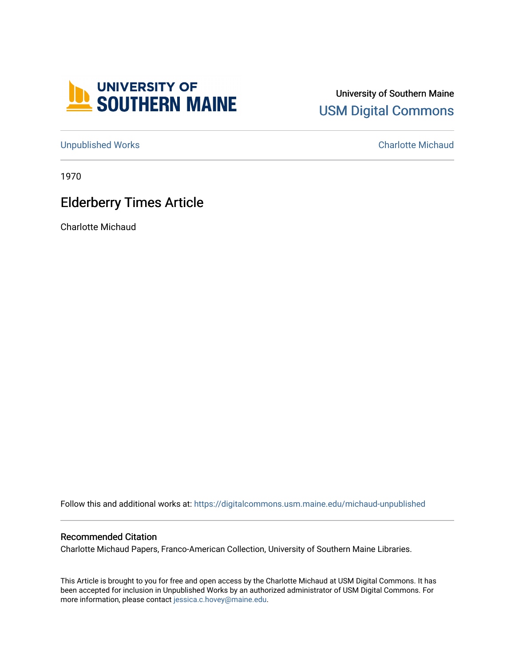

## University of Southern Maine [USM Digital Commons](https://digitalcommons.usm.maine.edu/)

[Unpublished Works](https://digitalcommons.usm.maine.edu/michaud-unpublished) [Charlotte Michaud](https://digitalcommons.usm.maine.edu/charlotte-michaud) 

1970

## Elderberry Times Article

Charlotte Michaud

Follow this and additional works at: [https://digitalcommons.usm.maine.edu/michaud-unpublished](https://digitalcommons.usm.maine.edu/michaud-unpublished?utm_source=digitalcommons.usm.maine.edu%2Fmichaud-unpublished%2F17&utm_medium=PDF&utm_campaign=PDFCoverPages) 

## Recommended Citation

Charlotte Michaud Papers, Franco-American Collection, University of Southern Maine Libraries.

This Article is brought to you for free and open access by the Charlotte Michaud at USM Digital Commons. It has been accepted for inclusion in Unpublished Works by an authorized administrator of USM Digital Commons. For more information, please contact [jessica.c.hovey@maine.edu](mailto:ian.fowler@maine.edu).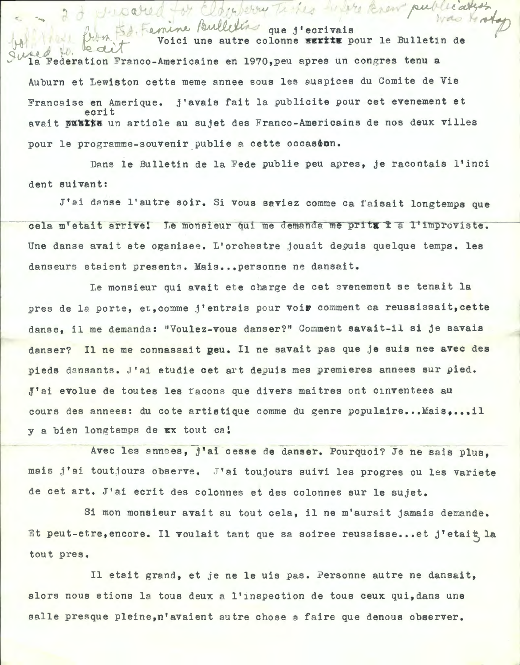$\gamma$  r  $[$   $\mu$   $\pi$   $]_+^2$ que j'ecrivais Voici une autre colonne **EEIILE** pour le Bulletin de *y a* b. leait Federation Franco-Americaine en 1970, peu apres un congres tenu a Auburn et Lewiston cette meme annee sous les auspices du Comite de Vie Francaise en Amerique. j'avais fait la publicite pour cet evenement et ecrit avait publis un article au sujet des Franco-Americains de nos deux villes pour le programme-souvenir publie a cette occasion.

I woored by Eldenberry Times were know

Dans le Bulletin de la Fede publie peu apres, je racontais l'inci dent suivant:

J'ai danse l'autre soir. Si vous saviez comme ca faisait longtemps que cela m'etait arrive! Le monsieur qui me demanda me prita à a l'improviste. Une danse avait ete oganisee. L'orchestre jouait depuis quelque temps. les danseurs etaient presents. Mais ... personne ne dansait.

Le monsieur qui avait ete charge de cet evenement se tenait la pres de la porte, et, comme j'entrais pour voir comment ca reussissait, cette danse, il me demanda: "Voulez-vous danser?" Comment savait-il si je savais danser? Il ne me connassait geu. Il ne savait pas que je suis nee avec des pieds dansants. J'ai etudie cet art depuis mes premieres annees sur pied. J'ai evolue de toutes les facons que divers maitres ont cinventees au cours des annees: du cote artistique comme du genre populaire... Mais,...il y a bien longtemps de Ex tout ca!

Avec les annees, j'ai cesse de danser. Pourquoi? Je ne sais plus, mais j'ai toutjours observe. J'ai toujours suivi les progres ou les variete de cet art. J'ai ecrit des colonnes et des colonnes sur le sujet.

Si mon monsieur avait su tout cela, il ne m'aurait jamais demande. Et peut-etre, encore. Il voulait tant que sa soiree reussisse... et j'etait la tout pres.

Il etait grand, et je ne le uis pas. Personne autre ne dansait, alors nous etions la tous deux a l'inspection de tous ceux qui,dans une salle presque pleine, n'avaient autre chose a faire que denous observer.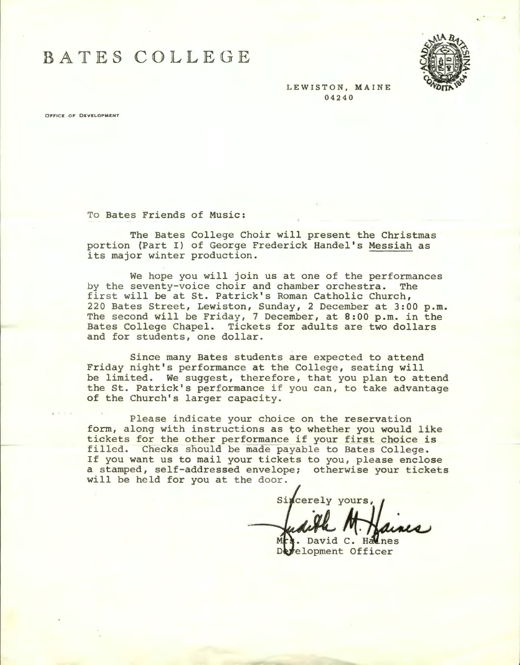BATE§ COJLLEGE



LEWISTON, MAINE 04240

**OFFICE .OF DEVELOPMENT** 

To Bates Friends of Music:

The Bates College Choir will present the Christmas portion (Part I) of George Frederick Handel's Messiah as its major winter production.

We hope you will join us at one of the performances<br>seventy-voice choir and chamber orchestra. The by the seventy-voice choir and chamber orchestra. first will be at St. Patrick's Roman Catholic Church, 220 Bates Street, Lewiston, Sunday, 2 December at 3:00 p.m. The second will be Friday, 7 December, at 8:00 p.m. in the Bates College Chapel. Tickets for adults are two dollars and for students, one dollar.

Since many Bates students are expected to attend Friday night's performance at the College, seating will be limited. We suggest, therefore, that you plan to attend the St. Patrick's performance if you can, to take advantage of the Church's larger capacity.

Please indicate your choice on the reservation form, along with instructions as to whether you would like tickets for the other performance if your first choice is filled. Checks should be made payable to Bates College. If you want us to mail your tickets to you, please enclose a stamped, self-addressed envelope; otherwise your tickets will be held for you at the door.

Sincerely yours,

David C. Halnes elopment Officer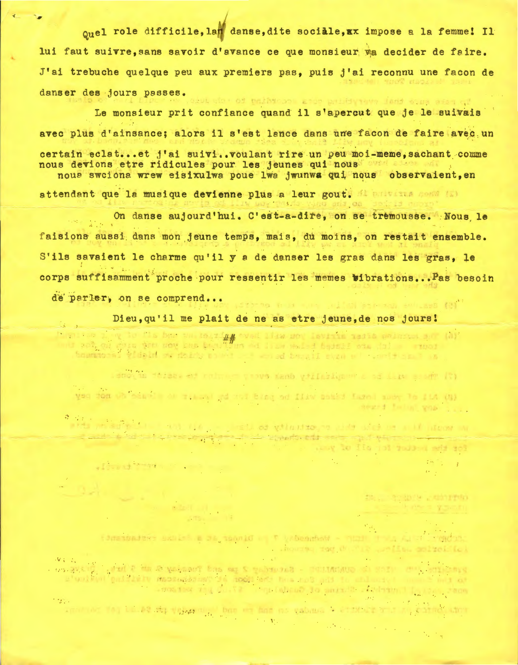onel role difficile, lan danse, dite sociale.xx impose a la femme! Il lui faut suivre, sans savoir d'avance ce que monsieur va decider de faire. J'ai trebuche quelque peu aux premiers pas, puis j'ai reconnu une facon de danser des jours passes. where of pathtroom good patiety and land some after of

Le monsieur prit confiance quand il s'apercut que je le suivais avec plus d'ainsance: alors il s'est lance dans une facon de faire avec un certain eclat...et j'ai suivi..voulant rire un peu moi-meme.sachant comme nous devions etre ridicules pour les jeunes qui nous nous sweions wrew eisixulwa poue lwa iwunwa gui nous observaient.en attendant que la musique devienne plus a leur gout. Al privista cessi (5)

On danse aujourd'hui. C'est-a-dire, on se tremousse. Nous le faisions aussi dans mon jeune temps, mais, du moins, on restait ensemble. S'ils savaient le charme qu'il v a de danser les gras dans les gras. le corps suffisamment proche pour ressentir les memes wibrations. Pas besoin

de parler, on se comprend...

- Format Monday Company

 $\label{eq:1} \frac{1}{\|x\|}\frac{\partial}{\partial x}\frac{\partial}{\partial x}\left(\frac{\partial}{\partial x}\right)\left(\frac{\partial}{\partial x}\right)=0.$ **THE ST** 

**Continued for the continued** Dieu, qu'il me plait de ne as etre jeune, de nos jours!

ing to the bas on this and the son levitin tests princes are thy is not on the leader of the control in the control of the control of the control of the control of the control of the control of the control of the control of the control of the control of the control of the control of the (7) The said not consider the Answer months at A said to  $\sim$   $\frac{1}{2}$ yse for the same at these ad not bing no file possed fazed many To ILA CB)

Advert Follow which have

a di .<br>Alta prisulation della provincia della primatica della della distanza della distanza della distanza della  $\frac{1}{2}$   $\frac{1}{2}$   $\frac{1}{2}$   $\frac{1}{2}$   $\frac{1}{2}$   $\frac{1}{2}$   $\frac{1}{2}$   $\frac{1}{2}$   $\frac{1}{2}$   $\frac{1}{2}$   $\frac{1}{2}$   $\frac{1}{2}$   $\frac{1}{2}$   $\frac{1}{2}$   $\frac{1}{2}$   $\frac{1}{2}$   $\frac{1}{2}$   $\frac{1}{2}$   $\frac{1}{2}$   $\frac{1}{2}$   $\frac{1}{2}$   $\frac{1}{2}$  for the pulled for all of up.

to conquise controlled

ad fort the country and some gast

timesmaders axulsi a da saonid . T vrbeamhed - nume commenced the State and Can enthusiated

 $W \subset \mathbb{C}_0$ 

annot der fleg bal. 28 stip vergan mit ben ein mit eine valsame is einstellen war an einer am **CONTRACTOR**